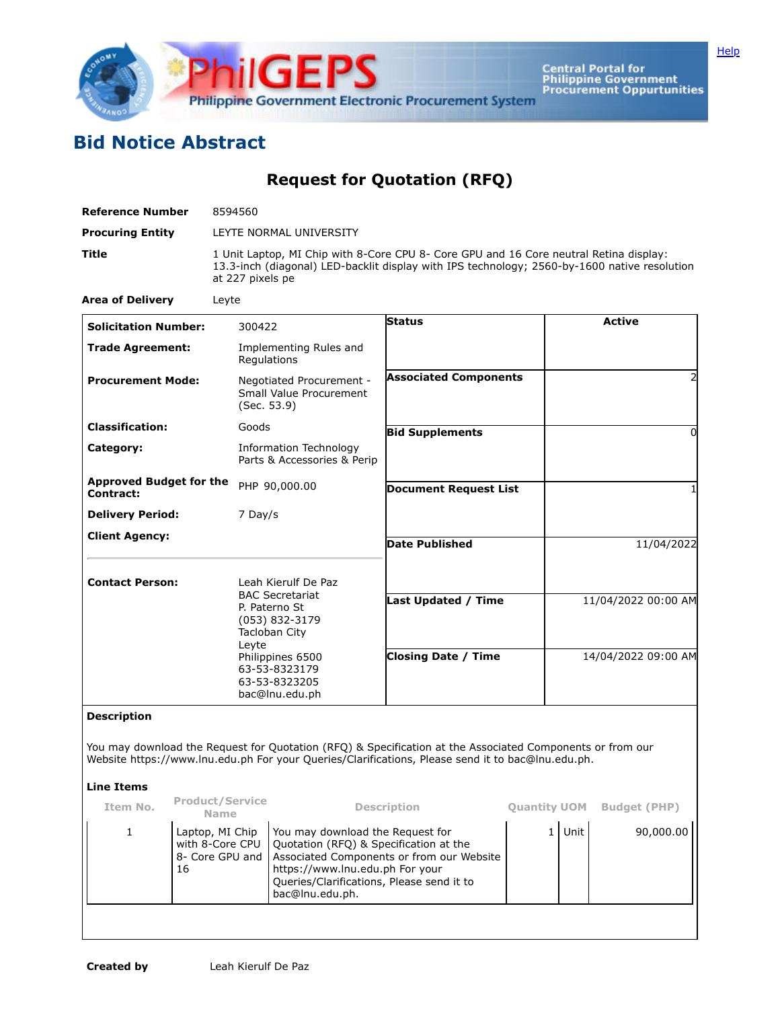

Central Portal for<br>Philippine Government<br>Procurement Oppurtunities

## **Bid Notice Abstract**

**Request for Quotation (RFQ)**

| <b>Reference Number</b>                     | 8594560                                                                                                                                                                                                    |                              |                     |  |  |  |  |
|---------------------------------------------|------------------------------------------------------------------------------------------------------------------------------------------------------------------------------------------------------------|------------------------------|---------------------|--|--|--|--|
| <b>Procuring Entity</b>                     | LEYTE NORMAL UNIVERSITY                                                                                                                                                                                    |                              |                     |  |  |  |  |
| <b>Title</b>                                | 1 Unit Laptop, MI Chip with 8-Core CPU 8- Core GPU and 16 Core neutral Retina display:<br>13.3-inch (diagonal) LED-backlit display with IPS technology; 2560-by-1600 native resolution<br>at 227 pixels pe |                              |                     |  |  |  |  |
| <b>Area of Delivery</b>                     | Leyte                                                                                                                                                                                                      |                              |                     |  |  |  |  |
| <b>Solicitation Number:</b>                 | 300422                                                                                                                                                                                                     | <b>Status</b>                | <b>Active</b>       |  |  |  |  |
| <b>Trade Agreement:</b>                     | Implementing Rules and<br>Regulations                                                                                                                                                                      |                              |                     |  |  |  |  |
| <b>Procurement Mode:</b>                    | Negotiated Procurement -<br>Small Value Procurement<br>(Sec. 53.9)                                                                                                                                         | <b>Associated Components</b> |                     |  |  |  |  |
| <b>Classification:</b>                      | Goods                                                                                                                                                                                                      | <b>Bid Supplements</b>       | 0                   |  |  |  |  |
| Category:                                   | Information Technology<br>Parts & Accessories & Perip                                                                                                                                                      |                              |                     |  |  |  |  |
| <b>Approved Budget for the</b><br>Contract: | PHP 90,000.00                                                                                                                                                                                              | <b>Document Request List</b> |                     |  |  |  |  |
| <b>Delivery Period:</b>                     | 7 Day/s                                                                                                                                                                                                    |                              |                     |  |  |  |  |
| <b>Client Agency:</b>                       |                                                                                                                                                                                                            | <b>Date Published</b>        | 11/04/2022          |  |  |  |  |
| <b>Contact Person:</b>                      | Leah Kierulf De Paz<br><b>BAC Secretariat</b><br>P. Paterno St<br>(053) 832-3179<br>Tacloban City                                                                                                          |                              |                     |  |  |  |  |
|                                             |                                                                                                                                                                                                            | <b>Last Updated / Time</b>   | 11/04/2022 00:00 AM |  |  |  |  |

**Description**

You may download the Request for Quotation (RFQ) & Specification at the Associated Components or from our Website https://www.lnu.edu.ph For your Queries/Clarifications, Please send it to bac@lnu.edu.ph.

**Closing Date / Time** 14/04/2022 09:00 AM

## **Line Items**

| Item No. | <b>Product/Service</b><br><b>Name</b>                       | <b>Description</b>                                                                                                                                                                                                         | <b>Quantity UOM</b> |      | <b>Budget (PHP)</b> |
|----------|-------------------------------------------------------------|----------------------------------------------------------------------------------------------------------------------------------------------------------------------------------------------------------------------------|---------------------|------|---------------------|
|          | Laptop, MI Chip<br>with 8-Core CPU<br>8- Core GPU and<br>16 | You may download the Request for<br>Quotation (RFQ) & Specification at the<br>Associated Components or from our Website<br>https://www.lnu.edu.ph For your<br>Queries/Clarifications, Please send it to<br>bac@lnu.edu.ph. |                     | Unit | 90,000.00           |
|          |                                                             |                                                                                                                                                                                                                            |                     |      |                     |

Leyte

Philippines 6500 63-53-8323179 63-53-8323205 bac@lnu.edu.ph